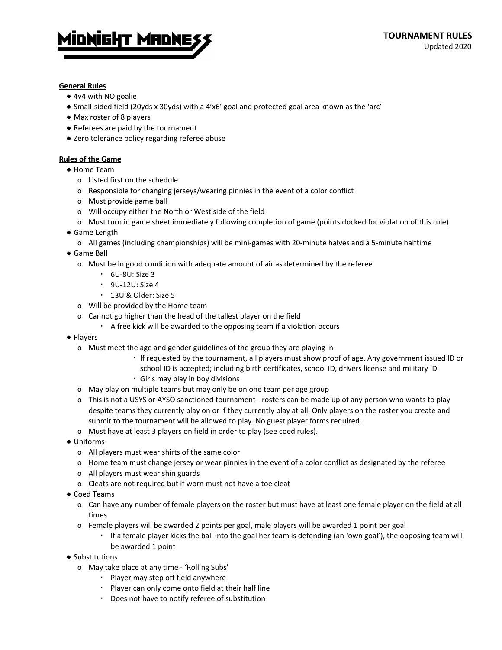

## **General Rules**

- 4v4 with NO goalie
- Small-sided field (20yds x 30yds) with a 4'x6' goal and protected goal area known as the 'arc'
- Max roster of 8 players
- Referees are paid by the tournament
- Zero tolerance policy regarding referee abuse

## **Rules of the Game**

- Home Team
	- o Listed first on the schedule
	- o Responsible for changing jerseys/wearing pinnies in the event of a color conflict
	- o Must provide game ball
	- o Will occupy either the North or West side of the field
	- o Must turn in game sheet immediately following completion of game (points docked for violation of this rule)
- Game Length
	- o All games (including championships) will be mini-games with 20-minute halves and a 5-minute halftime
- Game Ball
	- o Must be in good condition with adequate amount of air as determined by the referee
		- 6U-8U: Size 3
		- 9U-12U: Size 4
		- 13U & Older: Size 5
	- o Will be provided by the Home team
	- o Cannot go higher than the head of the tallest player on the field
		- A free kick will be awarded to the opposing team if a violation occurs
- Players
	- o Must meet the age and gender guidelines of the group they are playing in
		- If requested by the tournament, all players must show proof of age. Any government issued ID or
		- school ID is accepted; including birth certificates, school ID, drivers license and military ID.
		- Girls may play in boy divisions
	- o May play on multiple teams but may only be on one team per age group
	- o This is not a USYS or AYSO sanctioned tournament rosters can be made up of any person who wants to play despite teams they currently play on or if they currently play at all. Only players on the roster you create and submit to the tournament will be allowed to play. No guest player forms required.
	- o Must have at least 3 players on field in order to play (see coed rules).
- Uniforms
	- o All players must wear shirts of the same color
	- o Home team must change jersey or wear pinnies in the event of a color conflict as designated by the referee
	- o All players must wear shin guards
	- o Cleats are not required but if worn must not have a toe cleat
- Coed Teams
	- o Can have any number of female players on the roster but must have at least one female player on the field at all times
	- o Female players will be awarded 2 points per goal, male players will be awarded 1 point per goal
		- If a female player kicks the ball into the goal her team is defending (an 'own goal'), the opposing team will be awarded 1 point
- Substitutions
	- o May take place at any time 'Rolling Subs'
		- Player may step off field anywhere
		- Player can only come onto field at their half line
		- Does not have to notify referee of substitution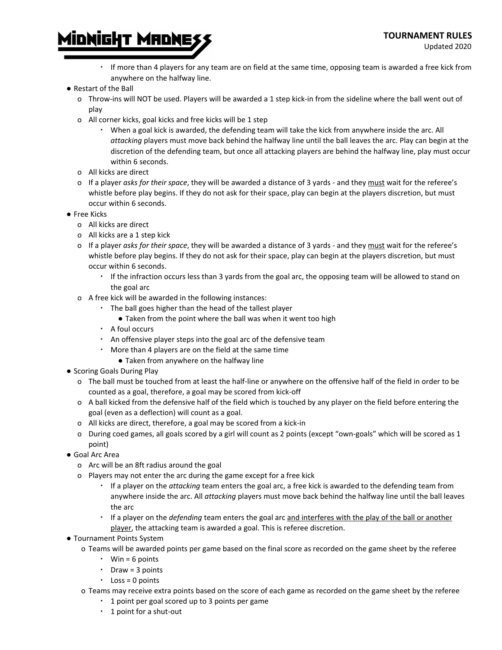

- Minnight Mannes
	- If more than 4 players for any team are on field at the same time, opposing team is awarded a free kick from anywhere on the halfway line.
	- Restart of the Ball
		- o Throw-ins will NOT be used. Players will be awarded a 1 step kick-in from the sideline where the ball went out of play
		- o All corner kicks, goal kicks and free kicks will be 1 step
			- When a goal kick is awarded, the defending team will take the kick from anywhere inside the arc. All *attacking* players must move back behind the halfway line until the ball leaves the arc. Play can begin at the discretion of the defending team, but once all attacking players are behind the halfway line, play must occur within 6 seconds.
		- o All kicks are direct
		- o If a player *asks for their space*, they will be awarded a distance of 3 yards and they must wait for the referee's whistle before play begins. If they do not ask for their space, play can begin at the players discretion, but must occur within 6 seconds.
	- Free Kicks
		- o All kicks are direct
		- o All kicks are a 1 step kick
		- o If a player *asks for their space*, they will be awarded a distance of 3 yards and they must wait for the referee's whistle before play begins. If they do not ask for their space, play can begin at the players discretion, but must occur within 6 seconds.
			- If the infraction occurs less than 3 yards from the goal arc, the opposing team will be allowed to stand on the goal arc
		- o A free kick will be awarded in the following instances:
			- The ball goes higher than the head of the tallest player
				- Taken from the point where the ball was when it went too high
			- A foul occurs
			- An offensive player steps into the goal arc of the defensive team
			- More than 4 players are on the field at the same time
				- Taken from anywhere on the halfway line
	- Scoring Goals During Play
		- o The ball must be touched from at least the half-line or anywhere on the offensive half of the field in order to be counted as a goal, therefore, a goal may be scored from kick-off
		- o A ball kicked from the defensive half of the field which is touched by any player on the field before entering the goal (even as a deflection) will count as a goal.
		- o All kicks are direct, therefore, a goal may be scored from a kick-in
		- o During coed games, all goals scored by a girl will count as 2 points (except "own-goals" which will be scored as 1 point)
	- Goal Arc Area
		- o Arc will be an 8ft radius around the goal
		- o Players may not enter the arc during the game except for a free kick
			- If a player on the *attacking* team enters the goal arc, a free kick is awarded to the defending team from anywhere inside the arc. All *attacking* players must move back behind the halfway line until the ball leaves the arc
			- If a player on the *defending* team enters the goal arc and interferes with the play of the ball or another player, the attacking team is awarded a goal. This is referee discretion.
	- Tournament Points System
		- o Teams will be awarded points per game based on the final score as recorded on the game sheet by the referee
			- $\cdot$  Win = 6 points
			- Draw = 3 points
			- $\cdot$  Loss = 0 points
		- o Teams may receive extra points based on the score of each game as recorded on the game sheet by the referee
			- 1 point per goal scored up to 3 points per game
			- 1 point for a shut-out